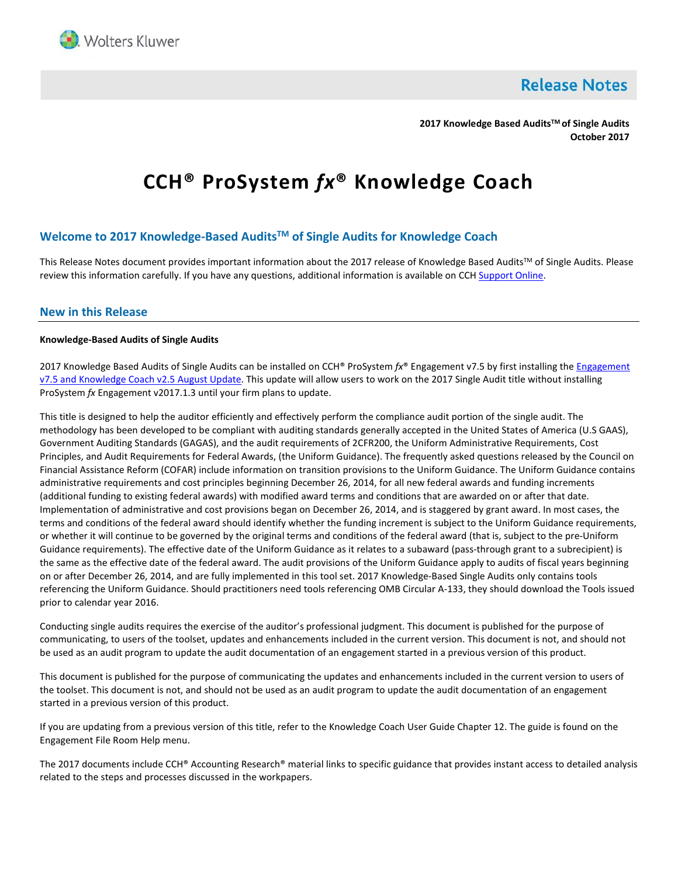

**Release Notes** 

**2017 Knowledge Based AuditsTM of Single Audits October 2017**

# **CCH® ProSystem** *fx***® Knowledge Coach**

# **Welcome to 2017 Knowledge-Based AuditsTM of Single Audits for Knowledge Coach**

This Release Notes document provides important information about the 2017 release of Knowledge Based Audits™ of Single Audits. Please review this information carefully. If you have any questions, additional information is available on CC[H Support Online.](http://support.cch.com/productsupport/)

## **New in this Release**

## **Knowledge-Based Audits of Single Audits**

2017 Knowledge Based Audits of Single Audits can be installed on CCH® ProSystem *fx*® Engagement v7.5 by first installing th[e Engagement](https://support.cch.com/updates/Engagement/patch75/patch75.aspx)  v7.5 and [Knowledge Coach](https://support.cch.com/updates/Engagement/patch75/patch75.aspx) v2.5 August Update. This update will allow users to work on the 2017 Single Audit title without installing ProSystem *fx* Engagement v2017.1.3 until your firm plans to update.

This title is designed to help the auditor efficiently and effectively perform the compliance audit portion of the single audit. The methodology has been developed to be compliant with auditing standards generally accepted in the United States of America (U.S GAAS), Government Auditing Standards (GAGAS), and the audit requirements of 2CFR200, the Uniform Administrative Requirements, Cost Principles, and Audit Requirements for Federal Awards, (the Uniform Guidance). The frequently asked questions released by the Council on Financial Assistance Reform (COFAR) include information on transition provisions to the Uniform Guidance. The Uniform Guidance contains administrative requirements and cost principles beginning December 26, 2014, for all new federal awards and funding increments (additional funding to existing federal awards) with modified award terms and conditions that are awarded on or after that date. Implementation of administrative and cost provisions began on December 26, 2014, and is staggered by grant award. In most cases, the terms and conditions of the federal award should identify whether the funding increment is subject to the Uniform Guidance requirements, or whether it will continue to be governed by the original terms and conditions of the federal award (that is, subject to the pre-Uniform Guidance requirements). The effective date of the Uniform Guidance as it relates to a subaward (pass-through grant to a subrecipient) is the same as the effective date of the federal award. The audit provisions of the Uniform Guidance apply to audits of fiscal years beginning on or after December 26, 2014, and are fully implemented in this tool set. 2017 Knowledge-Based Single Audits only contains tools referencing the Uniform Guidance. Should practitioners need tools referencing OMB Circular A-133, they should download the Tools issued prior to calendar year 2016.

Conducting single audits requires the exercise of the auditor's professional judgment. This document is published for the purpose of communicating, to users of the toolset, updates and enhancements included in the current version. This document is not, and should not be used as an audit program to update the audit documentation of an engagement started in a previous version of this product.

This document is published for the purpose of communicating the updates and enhancements included in the current version to users of the toolset. This document is not, and should not be used as an audit program to update the audit documentation of an engagement started in a previous version of this product.

If you are updating from a previous version of this title, refer to the Knowledge Coach User Guide Chapter 12. The guide is found on the Engagement File Room Help menu.

The 2017 documents include CCH® Accounting Research® material links to specific guidance that provides instant access to detailed analysis related to the steps and processes discussed in the workpapers.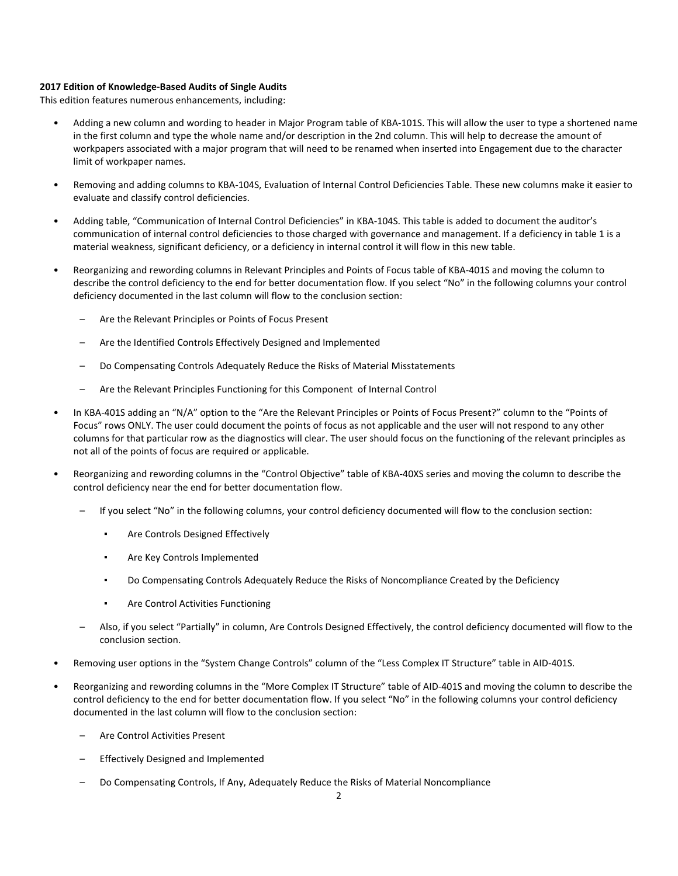## **2017 Edition of Knowledge-Based Audits of Single Audits**

This edition features numerous enhancements, including:

- Adding a new column and wording to header in Major Program table of KBA-101S. This will allow the user to type a shortened name in the first column and type the whole name and/or description in the 2nd column. This will help to decrease the amount of workpapers associated with a major program that will need to be renamed when inserted into Engagement due to the character limit of workpaper names.
- Removing and adding columns to KBA-104S, Evaluation of Internal Control Deficiencies Table. These new columns make it easier to evaluate and classify control deficiencies.
- Adding table, "Communication of Internal Control Deficiencies" in KBA-104S. This table is added to document the auditor's communication of internal control deficiencies to those charged with governance and management. If a deficiency in table 1 is a material weakness, significant deficiency, or a deficiency in internal control it will flow in this new table.
- Reorganizing and rewording columns in Relevant Principles and Points of Focus table of KBA-401S and moving the column to describe the control deficiency to the end for better documentation flow. If you select "No" in the following columns your control deficiency documented in the last column will flow to the conclusion section:
	- Are the Relevant Principles or Points of Focus Present
	- Are the Identified Controls Effectively Designed and Implemented
	- Do Compensating Controls Adequately Reduce the Risks of Material Misstatements
	- Are the Relevant Principles Functioning for this Component of Internal Control
- In KBA-401S adding an "N/A" option to the "Are the Relevant Principles or Points of Focus Present?" column to the "Points of Focus" rows ONLY. The user could document the points of focus as not applicable and the user will not respond to any other columns for that particular row as the diagnostics will clear. The user should focus on the functioning of the relevant principles as not all of the points of focus are required or applicable.
- Reorganizing and rewording columns in the "Control Objective" table of KBA-40XS series and moving the column to describe the control deficiency near the end for better documentation flow.
	- If you select "No" in the following columns, your control deficiency documented will flow to the conclusion section:
		- Are Controls Designed Effectively
		- Are Key Controls Implemented
		- Do Compensating Controls Adequately Reduce the Risks of Noncompliance Created by the Deficiency
		- Are Control Activities Functioning
	- Also, if you select "Partially" in column, Are Controls Designed Effectively, the control deficiency documented will flow to the conclusion section.
- Removing user options in the "System Change Controls" column of the "Less Complex IT Structure" table in AID-401S.
- Reorganizing and rewording columns in the "More Complex IT Structure" table of AID-401S and moving the column to describe the control deficiency to the end for better documentation flow. If you select "No" in the following columns your control deficiency documented in the last column will flow to the conclusion section:
	- Are Control Activities Present
	- Effectively Designed and Implemented
	- Do Compensating Controls, If Any, Adequately Reduce the Risks of Material Noncompliance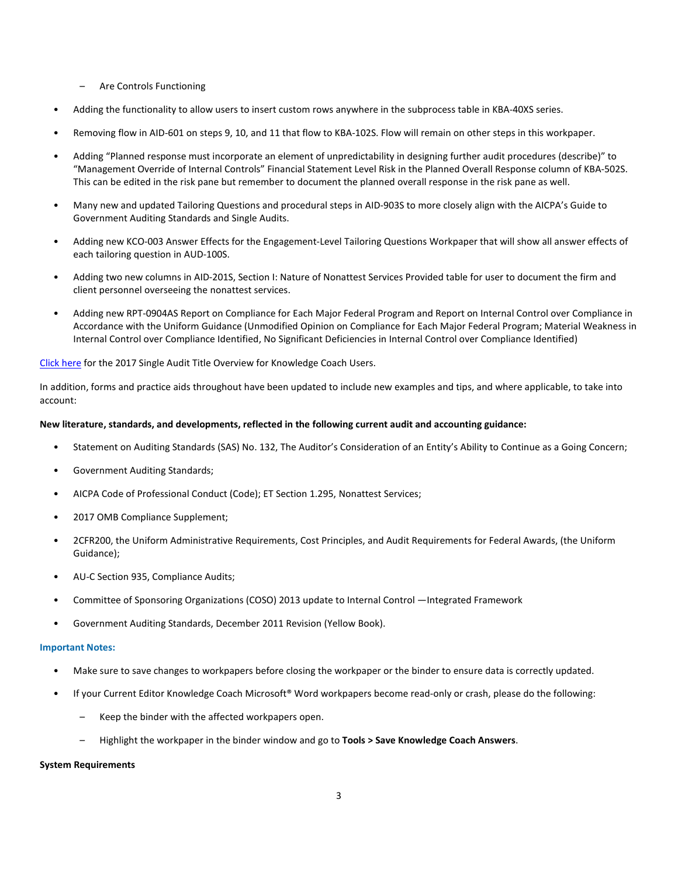- Are Controls Functioning
- Adding the functionality to allow users to insert custom rows anywhere in the subprocess table in KBA-40XS series.
- Removing flow in AID-601 on steps 9, 10, and 11 that flow to KBA-102S. Flow will remain on other steps in this workpaper.
- Adding "Planned response must incorporate an element of unpredictability in designing further audit procedures (describe)" to "Management Override of Internal Controls" Financial Statement Level Risk in the Planned Overall Response column of KBA-502S. This can be edited in the risk pane but remember to document the planned overall response in the risk pane as well.
- Many new and updated Tailoring Questions and procedural steps in AID-903S to more closely align with the AICPA's Guide to Government Auditing Standards and Single Audits.
- Adding new KCO-003 Answer Effects for the Engagement-Level Tailoring Questions Workpaper that will show all answer effects of each tailoring question in AUD-100S.
- Adding two new columns in AID-201S, Section I: Nature of Nonattest Services Provided table for user to document the firm and client personnel overseeing the nonattest services.
- Adding new RPT-0904AS Report on Compliance for Each Major Federal Program and Report on Internal Control over Compliance in Accordance with the Uniform Guidance (Unmodified Opinion on Compliance for Each Major Federal Program; Material Weakness in Internal Control over Compliance Identified, No Significant Deficiencies in Internal Control over Compliance Identified)

## [Click here](http://support.cch.com/updates/KnowledgeCoach/pdf/guides_tab/2017%20Single%20Audit%20Title%20Overview%20for%20Knowledge%20Coach%20Users.pdf) for the 2017 Single Audit Title Overview for Knowledge Coach Users.

In addition, forms and practice aids throughout have been updated to include new examples and tips, and where applicable, to take into account:

#### **New literature, standards, and developments, reflected in the following current audit and accounting guidance:**

- Statement on Auditing Standards (SAS) No. 132, The Auditor's Consideration of an Entity's Ability to Continue as a Going Concern;
- Government Auditing Standards;
- AICPA Code of Professional Conduct (Code); ET Section 1.295, Nonattest Services;
- 2017 OMB Compliance Supplement;
- 2CFR200, the Uniform Administrative Requirements, Cost Principles, and Audit Requirements for Federal Awards, (the Uniform Guidance);
- AU-C Section 935, Compliance Audits;
- Committee of Sponsoring Organizations (COSO) 2013 update to Internal Control —Integrated Framework
- Government Auditing Standards, December 2011 Revision (Yellow Book).

#### **Important Notes:**

- Make sure to save changes to workpapers before closing the workpaper or the binder to ensure data is correctly updated.
- If your Current Editor Knowledge Coach Microsoft® Word workpapers become read-only or crash, please do the following:
	- Keep the binder with the affected workpapers open.
	- Highlight the workpaper in the binder window and go to **Tools > Save Knowledge Coach Answers**.

#### **System Requirements**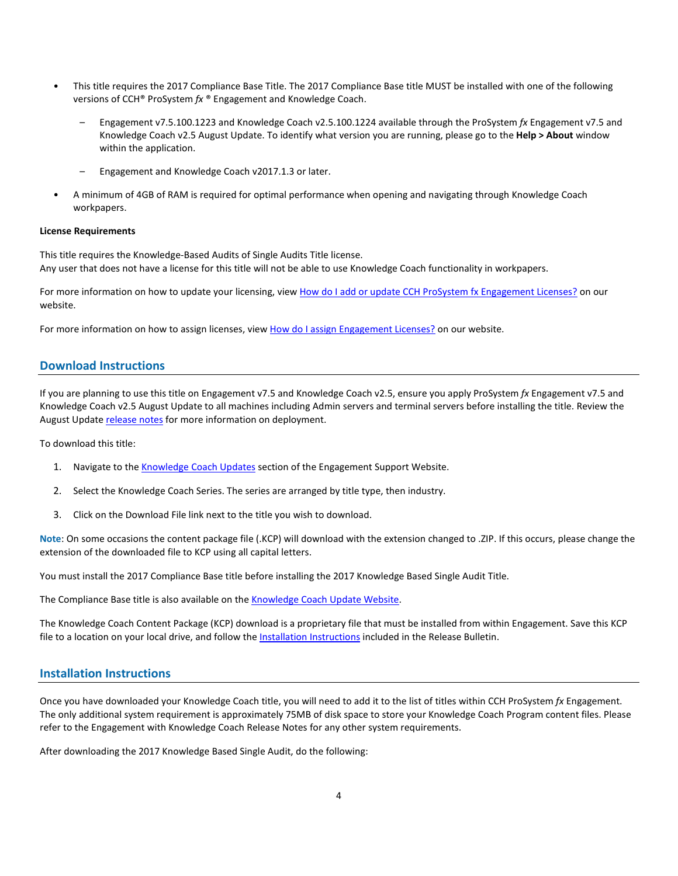- This title requires the 2017 Compliance Base Title. The 2017 Compliance Base title MUST be installed with one of the following versions of CCH® ProSystem *fx* ® Engagement and Knowledge Coach.
	- Engagement v7.5.100.1223 and Knowledge Coach v2.5.100.1224 available through the ProSystem *fx* Engagement v7.5 and Knowledge Coach v2.5 August Update. To identify what version you are running, please go to the **Help > About** window within the application.
	- Engagement and Knowledge Coach v2017.1.3 or later.
- A minimum of 4GB of RAM is required for optimal performance when opening and navigating through Knowledge Coach workpapers.

#### **License Requirements**

This title requires the Knowledge-Based Audits of Single Audits Title license. Any user that does not have a license for this title will not be able to use Knowledge Coach functionality in workpapers.

For more information on how to update your licensing, vie[w How do I add or update CCH ProSystem fx Engagement Licenses?](https://support.cch.com/kb/solution.aspx/sw3937) on our website.

For more information on how to assign licenses, view [How do I assign Engagement Licenses?](https://support.cch.com/kb/solution.aspx/sw3943) on our website.

# **Download Instructions**

If you are planning to use this title on Engagement v7.5 and Knowledge Coach v2.5, ensure you apply ProSystem *fx* Engagement v7.5 and Knowledge Coach v2.5 August Update to all machines including Admin servers and terminal servers before installing the title. Review the August Update [release notes](https://support.cch.com/updates/Engagement/patch75/Engagement%20and%20KC%20August%202017%20Update%20Release%20Notes.pdf) for more information on deployment.

To download this title:

- 1. Navigate to the [Knowledge Coach Updates](http://support.cch.com/updates/KnowledgeCoach) section of the Engagement Support Website.
- 2. Select the Knowledge Coach Series. The series are arranged by title type, then industry.
- 3. Click on the Download File link next to the title you wish to download.

**Note**: On some occasions the content package file (.KCP) will download with the extension changed to .ZIP. If this occurs, please change the extension of the downloaded file to KCP using all capital letters.

You must install the 2017 Compliance Base title before installing the 2017 Knowledge Based Single Audit Title.

The Compliance Base title is also available on th[e Knowledge Coach Update Website.](http://support.cch.com/updates/KnowledgeCoach)

The Knowledge Coach Content Package (KCP) download is a proprietary file that must be installed from within Engagement. Save this KCP file to a location on your local drive, and follow the **Installation Instructions** included in the Release Bulletin.

## **Installation Instructions**

Once you have downloaded your Knowledge Coach title, you will need to add it to the list of titles within CCH ProSystem *fx* Engagement. The only additional system requirement is approximately 75MB of disk space to store your Knowledge Coach Program content files. Please refer to the Engagement with Knowledge Coach Release Notes for any other system requirements.

After downloading the 2017 Knowledge Based Single Audit, do the following: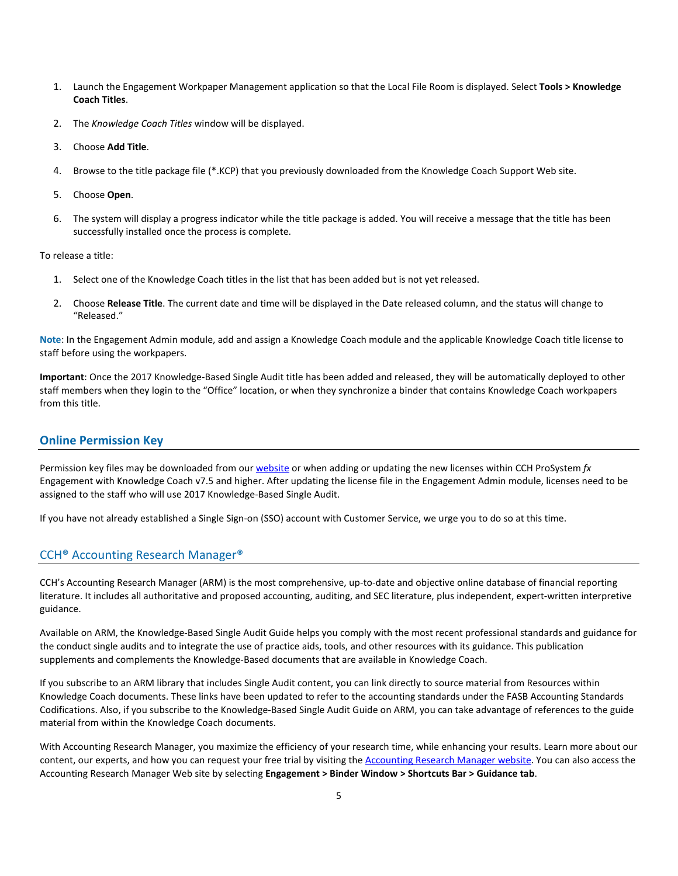- 1. Launch the Engagement Workpaper Management application so that the Local File Room is displayed. Select **Tools > Knowledge Coach Titles**.
- 2. The *Knowledge Coach Titles* window will be displayed.
- 3. Choose **Add Title**.
- 4. Browse to the title package file (\*.KCP) that you previously downloaded from the Knowledge Coach Support Web site.
- 5. Choose **Open**.
- 6. The system will display a progress indicator while the title package is added. You will receive a message that the title has been successfully installed once the process is complete.

To release a title:

- 1. Select one of the Knowledge Coach titles in the list that has been added but is not yet released.
- 2. Choose **Release Title**. The current date and time will be displayed in the Date released column, and the status will change to "Released."

**Note**: In the Engagement Admin module, add and assign a Knowledge Coach module and the applicable Knowledge Coach title license to staff before using the workpapers.

**Important**: Once the 2017 Knowledge-Based Single Audit title has been added and released, they will be automatically deployed to other staff members when they login to the "Office" location, or when they synchronize a binder that contains Knowledge Coach workpapers from this title.

### **Online Permission Key**

Permission key files may be downloaded from ou[r website](https://prosystemfxsupport.tax.cchgroup.com/permkey/download.aspx) or when adding or updating the new licenses within CCH ProSystem *fx* Engagement with Knowledge Coach v7.5 and higher. After updating the license file in the Engagement Admin module, licenses need to be assigned to the staff who will use 2017 Knowledge-Based Single Audit.

If you have not already established a Single Sign-on (SSO) account with Customer Service, we urge you to do so at this time.

## CCH® Accounting Research Manager®

CCH's Accounting Research Manager (ARM) is the most comprehensive, up-to-date and objective online database of financial reporting literature. It includes all authoritative and proposed accounting, auditing, and SEC literature, plus independent, expert-written interpretive guidance.

Available on ARM, the Knowledge-Based Single Audit Guide helps you comply with the most recent professional standards and guidance for the conduct single audits and to integrate the use of practice aids, tools, and other resources with its guidance. This publication supplements and complements the Knowledge-Based documents that are available in Knowledge Coach.

If you subscribe to an ARM library that includes Single Audit content, you can link directly to source material from Resources within Knowledge Coach documents. These links have been updated to refer to the accounting standards under the FASB Accounting Standards Codifications. Also, if you subscribe to the Knowledge-Based Single Audit Guide on ARM, you can take advantage of references to the guide material from within the Knowledge Coach documents.

With Accounting Research Manager, you maximize the efficiency of your research time, while enhancing your results. Learn more about our content, our experts, and how you can request your free trial by visiting the [Accounting Research Manager website.](http://www.accountingresearchmanager.com/) You can also access the Accounting Research Manager Web site by selecting **Engagement > Binder Window > Shortcuts Bar > Guidance tab**.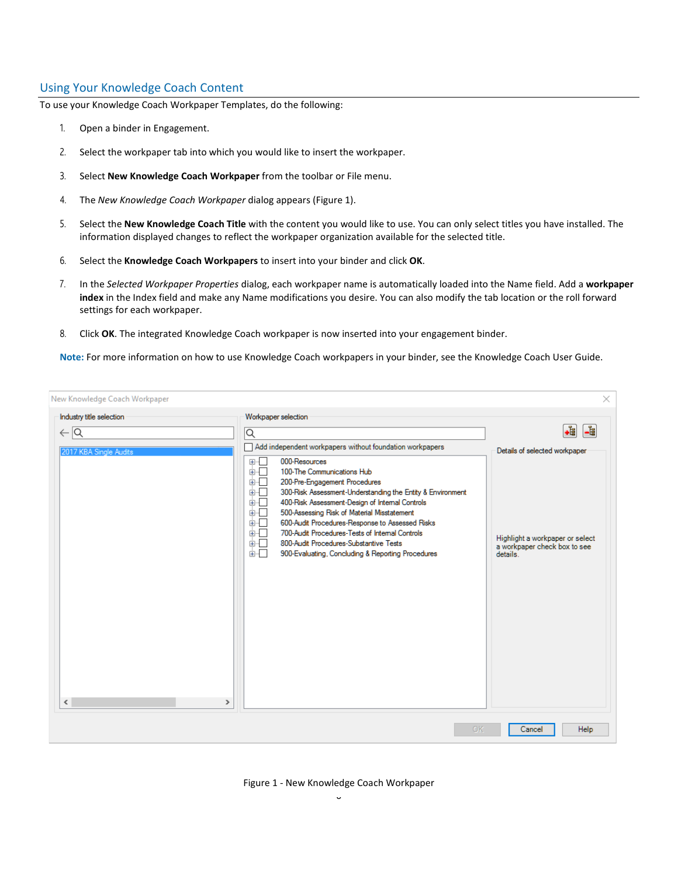# Using Your Knowledge Coach Content

To use your Knowledge Coach Workpaper Templates, do the following:

- 1. Open a binder in Engagement.
- 2. Select the workpaper tab into which you would like to insert the workpaper.
- 3. Select **New Knowledge Coach Workpaper** from the toolbar or File menu.
- 4. The *New Knowledge Coach Workpaper* dialog appears (Figure 1).
- 5. Select the **New Knowledge Coach Title** with the content you would like to use. You can only select titles you have installed. The information displayed changes to reflect the workpaper organization available for the selected title.
- 6. Select the **Knowledge Coach Workpapers** to insert into your binder and click **OK**.
- 7. In the *Selected Workpaper Properties* dialog, each workpaper name is automatically loaded into the Name field. Add a **workpaper index** in the Index field and make any Name modifications you desire. You can also modify the tab location or the roll forward settings for each workpaper.
- 8. Click **OK**. The integrated Knowledge Coach workpaper is now inserted into your engagement binder.

**Note:** For more information on how to use Knowledge Coach workpapers in your binder, see the Knowledge Coach User Guide.

| New Knowledge Coach Workpaper         |                                                                                                                                                                                                                                                                                                                                                                                                                                                                                                                     | $\times$                                                                                                     |
|---------------------------------------|---------------------------------------------------------------------------------------------------------------------------------------------------------------------------------------------------------------------------------------------------------------------------------------------------------------------------------------------------------------------------------------------------------------------------------------------------------------------------------------------------------------------|--------------------------------------------------------------------------------------------------------------|
| Industry title selection              | Workpaper selection                                                                                                                                                                                                                                                                                                                                                                                                                                                                                                 |                                                                                                              |
| $\leftarrow \overline{\mathsf{Q}}$    | ⊺Q<br>Add independent workpapers without foundation workpapers                                                                                                                                                                                                                                                                                                                                                                                                                                                      | .i<br>- 1                                                                                                    |
| 2017 KBA Single Audits<br>$\leq$<br>⋗ | 000-Resources<br>L.<br>国…<br>100-The Communications Hub<br>画画<br>面干<br>200-Pre-Engagement Procedures<br>画画<br>300-Risk Assessment-Understanding the Entity & Environment<br>面石<br>400-Risk Assessment-Design of Internal Controls<br>面一<br>500-Assessing Risk of Material Misstatement<br>600-Audit Procedures-Response to Assessed Risks<br>面示<br>700-Audit Procedures-Tests of Internal Controls<br>面一<br>画一<br>800-Audit Procedures-Substantive Tests<br>面石<br>900-Evaluating, Concluding & Reporting Procedures | Details of selected workpaper<br>Highlight a workpaper or select<br>a workpaper check box to see<br>details. |
|                                       | OK                                                                                                                                                                                                                                                                                                                                                                                                                                                                                                                  | Cancel<br>Help                                                                                               |

#### Figure 1 - New Knowledge Coach Workpaper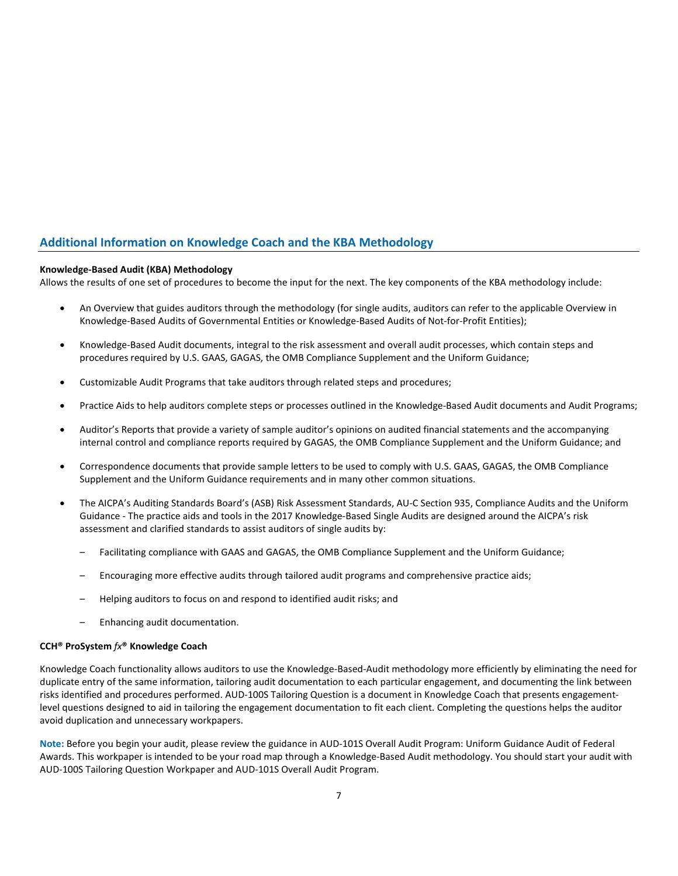# **Additional Information on Knowledge Coach and the KBA Methodology**

## **Knowledge-Based Audit (KBA) Methodology**

Allows the results of one set of procedures to become the input for the next. The key components of the KBA methodology include:

- An Overview that guides auditors through the methodology (for single audits, auditors can refer to the applicable Overview in Knowledge-Based Audits of Governmental Entities or Knowledge-Based Audits of Not-for-Profit Entities);
- Knowledge-Based Audit documents, integral to the risk assessment and overall audit processes, which contain steps and procedures required by U.S. GAAS, GAGAS, the OMB Compliance Supplement and the Uniform Guidance;
- Customizable Audit Programs that take auditors through related steps and procedures;
- Practice Aids to help auditors complete steps or processes outlined in the Knowledge-Based Audit documents and Audit Programs;
- Auditor's Reports that provide a variety of sample auditor's opinions on audited financial statements and the accompanying internal control and compliance reports required by GAGAS, the OMB Compliance Supplement and the Uniform Guidance; and
- Correspondence documents that provide sample letters to be used to comply with U.S. GAAS, GAGAS, the OMB Compliance Supplement and the Uniform Guidance requirements and in many other common situations.
- The AICPA's Auditing Standards Board's (ASB) Risk Assessment Standards, AU-C Section 935, Compliance Audits and the Uniform Guidance - The practice aids and tools in the 2017 Knowledge-Based Single Audits are designed around the AICPA's risk assessment and clarified standards to assist auditors of single audits by:
	- Facilitating compliance with GAAS and GAGAS, the OMB Compliance Supplement and the Uniform Guidance;
	- Encouraging more effective audits through tailored audit programs and comprehensive practice aids;
	- Helping auditors to focus on and respond to identified audit risks; and
	- Enhancing audit documentation.

#### **CCH® ProSystem** *fx***® Knowledge Coach**

Knowledge Coach functionality allows auditors to use the Knowledge-Based-Audit methodology more efficiently by eliminating the need for duplicate entry of the same information, tailoring audit documentation to each particular engagement, and documenting the link between risks identified and procedures performed. AUD-100S Tailoring Question is a document in Knowledge Coach that presents engagementlevel questions designed to aid in tailoring the engagement documentation to fit each client. Completing the questions helps the auditor avoid duplication and unnecessary workpapers.

**Note:** Before you begin your audit, please review the guidance in AUD-101S Overall Audit Program: Uniform Guidance Audit of Federal Awards. This workpaper is intended to be your road map through a Knowledge-Based Audit methodology. You should start your audit with AUD-100S Tailoring Question Workpaper and AUD-101S Overall Audit Program.